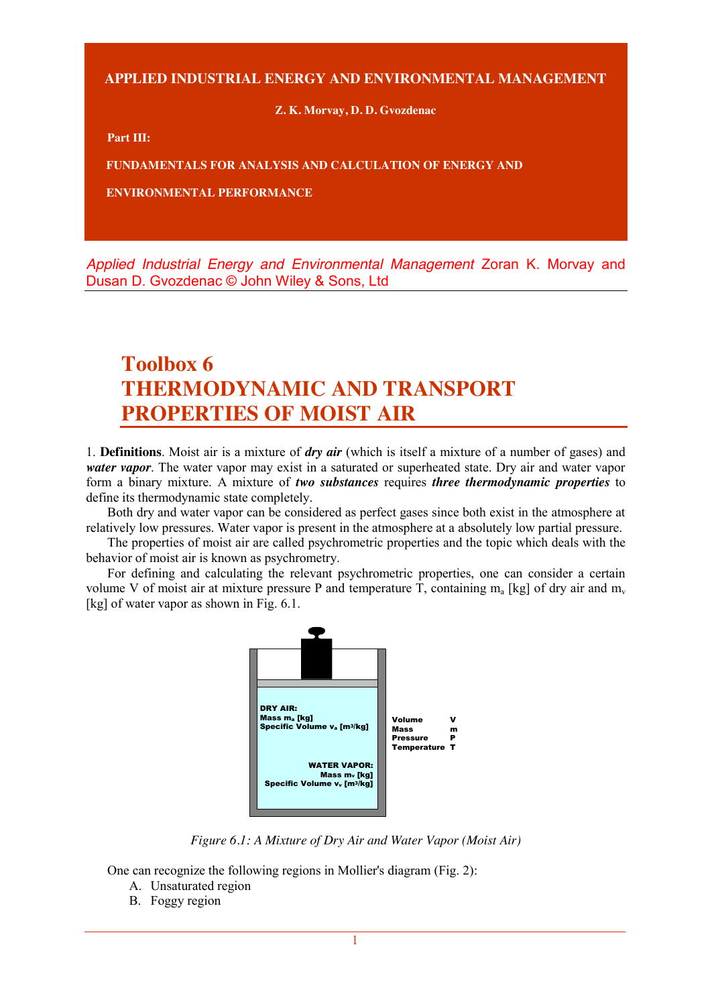**APPLIED INDUSTRIAL ENERGY AND ENVIRONMENTAL MANAGEMENT**

**Z. K. Morvay, D. D. Gvozdenac**

**Part III:**

**FUNDAMENTALS FOR ANALYSIS AND CALCULATION OF ENERGY AND** 

**ENVIRONMENTAL PERFORMANCE**

*Applied Industrial Energy and Environmental Management* Zoran K. Morvay and Dusan D. Gvozdenac © John Wiley & Sons, Ltd

## **Toolbox 6 THERMODYNAMIC AND TRANSPORT PROPERTIES OF MOIST AIR**

1. **Definitions**. Moist air is a mixture of *dry air* (which is itself a mixture of a number of gases) and *water vapor*. The water vapor may exist in a saturated or superheated state. Dry air and water vapor form a binary mixture. A mixture of *two substances* requires *three thermodynamic properties* to define its thermodynamic state completely.

Both dry and water vapor can be considered as perfect gases since both exist in the atmosphere at relatively low pressures. Water vapor is present in the atmosphere at a absolutely low partial pressure.

The properties of moist air are called psychrometric properties and the topic which deals with the behavior of moist air is known as psychrometry.

For defining and calculating the relevant psychrometric properties, one can consider a certain volume V of moist air at mixture pressure P and temperature T, containing  $m_a$  [kg] of dry air and  $m_v$ [kg] of water vapor as shown in Fig. 6.1.



*Figure 6.1: A Mixture of Dry Air and Water Vapor (Moist Air)*

One can recognize the following regions in Mollier's diagram (Fig. 2):

- A. Unsaturated region
- B. Foggy region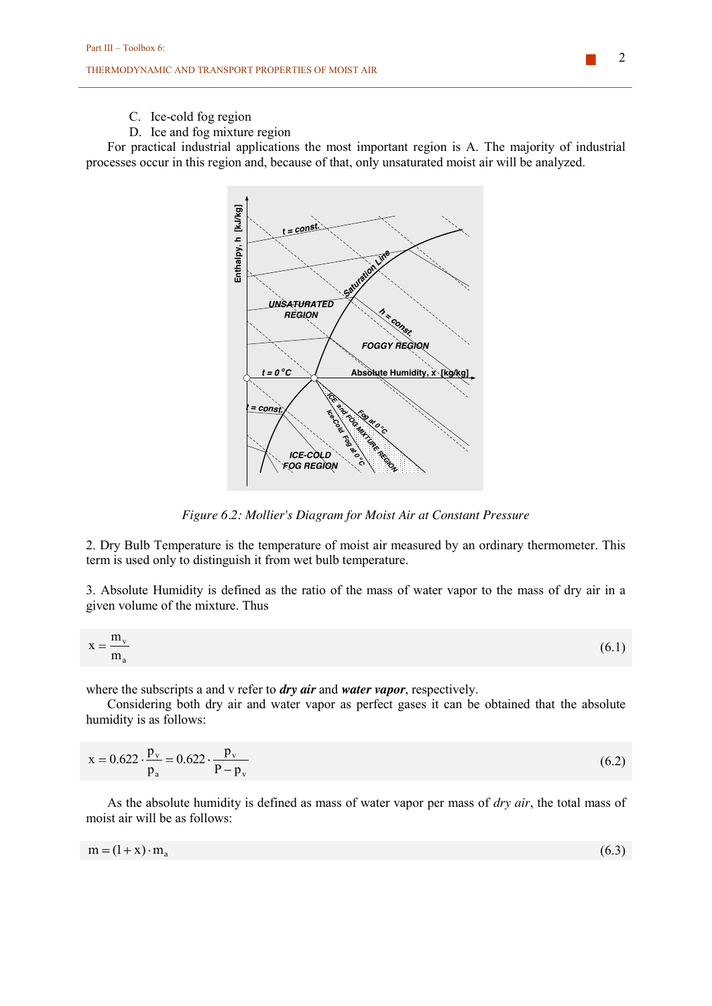## C. Ice-cold fog region

D. Ice and fog mixture region

For practical industrial applications the most important region is A. The majority of industrial processes occur in this region and, because of that, only unsaturated moist air will be analyzed.



*Figure 6.2: Mollier's Diagram for Moist Air at Constant Pressure*

2. Dry Bulb Temperature is the temperature of moist air measured by an ordinary thermometer. This term is used only to distinguish it from wet bulb temperature.

3. Absolute Humidity is defined as the ratio of the mass of water vapor to the mass of dry air in a given volume of the mixture. Thus

$$
x = \frac{m_v}{m_a} \tag{6.1}
$$

where the subscripts a and v refer to *dry air* and *water vapor*, respectively.

Considering both dry air and water vapor as perfect gases it can be obtained that the absolute humidity is as follows:

$$
x = 0.622 \cdot \frac{p_v}{p_a} = 0.622 \cdot \frac{p_v}{P - p_v}
$$
(6.2)

As the absolute humidity is defined as mass of water vapor per mass of *dry air*, the total mass of moist air will be as follows:

$$
m = (1 + x) \cdot m_a \tag{6.3}
$$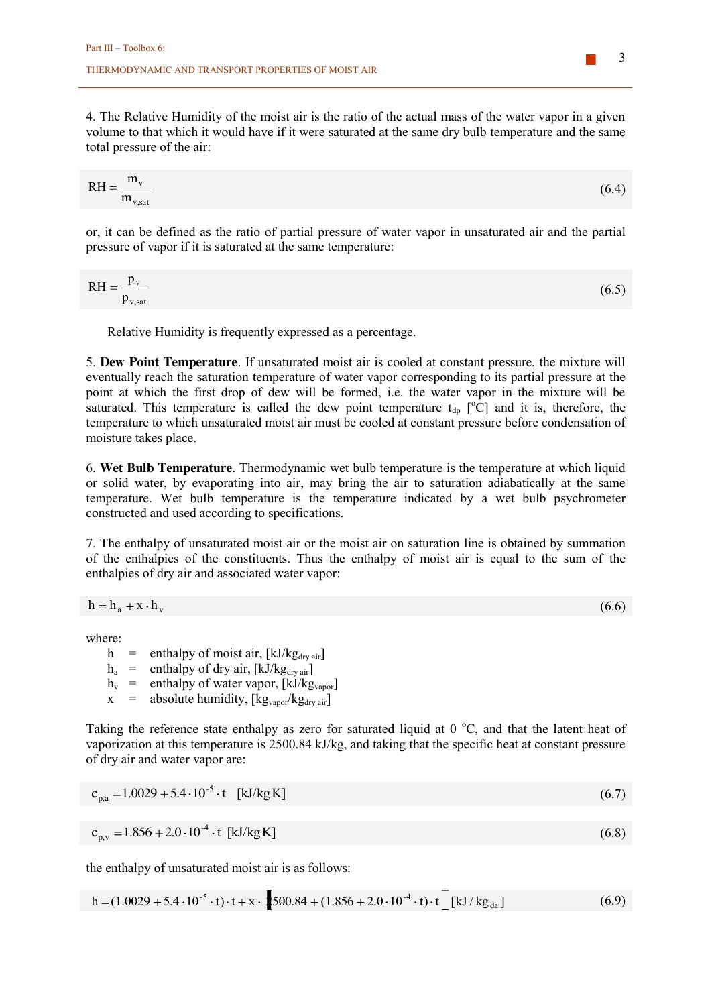4. The Relative Humidity of the moist air is the ratio of the actual mass of the water vapor in a given volume to that which it would have if it were saturated at the same dry bulb temperature and the same total pressure of the air:

$$
RH = \frac{m_v}{m_{v, \text{sat}}} \tag{6.4}
$$

or, it can be defined as the ratio of partial pressure of water vapor in unsaturated air and the partial pressure of vapor if it is saturated at the same temperature:

$$
RH = \frac{p_v}{p_{v, sat}}\tag{6.5}
$$

Relative Humidity is frequently expressed as a percentage.

5. **Dew Point Temperature**. If unsaturated moist air is cooled at constant pressure, the mixture will eventually reach the saturation temperature of water vapor corresponding to its partial pressure at the point at which the first drop of dew will be formed, i.e. the water vapor in the mixture will be saturated. This temperature is called the dew point temperature  $t_{dp}$  [°C] and it is, therefore, the temperature to which unsaturated moist air must be cooled at constant pressure before condensation of moisture takes place.

6. **Wet Bulb Temperature**. Thermodynamic wet bulb temperature is the temperature at which liquid or solid water, by evaporating into air, may bring the air to saturation adiabatically at the same temperature. Wet bulb temperature is the temperature indicated by a wet bulb psychrometer constructed and used according to specifications.

7. The enthalpy of unsaturated moist air or the moist air on saturation line is obtained by summation of the enthalpies of the constituents. Thus the enthalpy of moist air is equal to the sum of the enthalpies of dry air and associated water vapor:

$$
h = h_a + x \cdot h_v \tag{6.6}
$$

where:

h = enthalpy of moist air,  $[kJ/kg<sub>drv</sub>_{air}]$ 

 $h_a$  = enthalpy of dry air, [kJ/kg<sub>dry air</sub>]

 $h_v$  = enthalpy of water vapor, [kJ/kg<sub>vapor</sub>]

 $x =$  absolute humidity,  $\begin{bmatrix} \text{kg}_{\text{vapor}}/\text{kg}_{\text{dry air}} \end{bmatrix}$ 

Taking the reference state enthalpy as zero for saturated liquid at  $0^{\circ}$ C, and that the latent heat of vaporization at this temperature is 2500.84 kJ/kg, and taking that the specific heat at constant pressure of dry air and water vapor are:

$$
c_{p,a} = 1.0029 + 5.4 \cdot 10^{-5} \cdot t \quad [kJ/kgK]
$$
\n(6.7)

$$
c_{p,v} = 1.856 + 2.0 \cdot 10^{-4} \cdot t \text{ [kJ/kg K]} \tag{6.8}
$$

the enthalpy of unsaturated moist air is as follows:

$$
h = (1.0029 + 5.4 \cdot 10^{-5} \cdot t) \cdot t + x \cdot 2500.84 + (1.856 + 2.0 \cdot 10^{-4} \cdot t) \cdot t \cdot [kJ/kg_{da}]
$$
\n(6.9)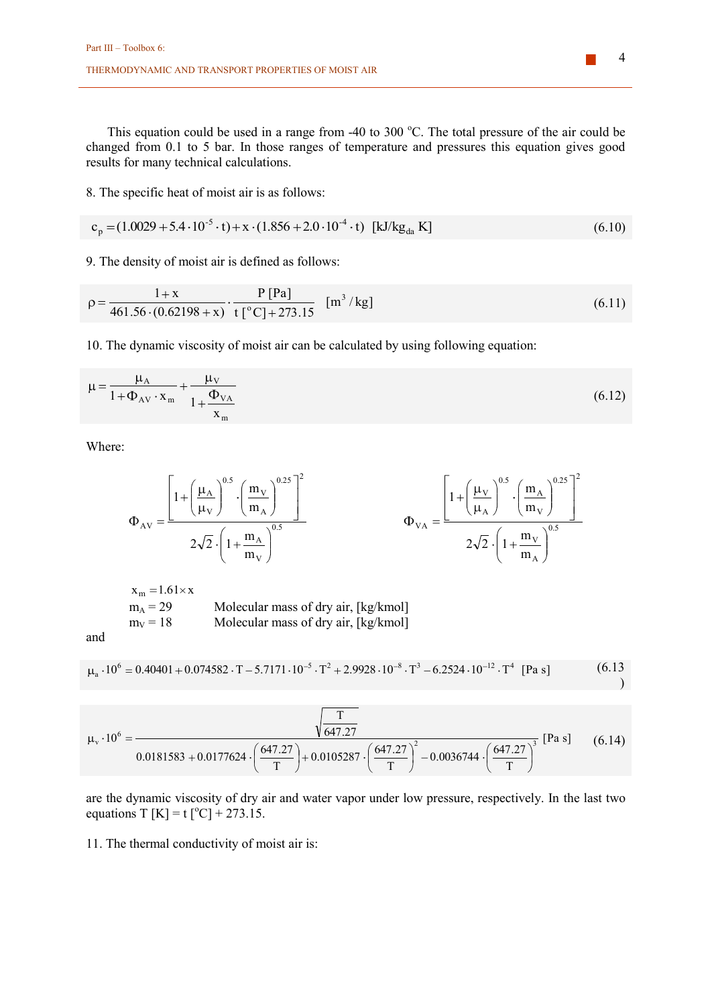This equation could be used in a range from -40 to 300 °C. The total pressure of the air could be changed from 0.1 to 5 bar. In those ranges of temperature and pressures this equation gives good results for many technical calculations.

8. The specific heat of moist air is as follows:

$$
c_p = (1.0029 + 5.4 \cdot 10^{-5} \cdot t) + x \cdot (1.856 + 2.0 \cdot 10^{-4} \cdot t) \text{ [kJ/kg}_{da} \text{ K}]
$$
\n(6.10)

9. The density of moist air is defined as follows:

$$
\rho = \frac{1 + x}{461.56 \cdot (0.62198 + x)} \cdot \frac{P [Pa]}{t [°C] + 273.15} \quad [m^3/kg]
$$
\n(6.11)

10. The dynamic viscosity of moist air can be calculated by using following equation:

$$
\mu = \frac{\mu_{A}}{1 + \Phi_{AV} \cdot x_{m}} + \frac{\mu_{V}}{1 + \frac{\Phi_{VA}}{x_{m}}}
$$
(6.12)

Where:

$$
\Phi_{AV} = \frac{\left[1 + \left(\frac{\mu_A}{\mu_V}\right)^{0.5} \cdot \left(\frac{m_V}{m_A}\right)^{0.25}\right]^2}{2\sqrt{2} \cdot \left(1 + \frac{m_A}{m_V}\right)^{0.5}} \qquad \Phi_{VA} = \frac{\left[1 + \left(\frac{\mu_V}{\mu_A}\right)^{0.5} \cdot \left(\frac{m_A}{m_V}\right)^{0.25}\right]^2}{2\sqrt{2} \cdot \left(1 + \frac{m_V}{m_A}\right)^{0.5}}
$$

 $x_m = 1.61 \times x$ <br> $m_A = 29$  $m_A = 29$  Molecular mass of dry air, [kg/kmol]<br>  $m_V = 18$  Molecular mass of dry air, [kg/kmol] Molecular mass of dry air,  $[kg/kmol]$ 

and

$$
\mu_a \cdot 10^6 = 0.40401 + 0.074582 \cdot T - 5.7171 \cdot 10^{-5} \cdot T^2 + 2.9928 \cdot 10^{-8} \cdot T^3 - 6.2524 \cdot 10^{-12} \cdot T^4 \text{ [Pa s]} \tag{6.13}
$$

$$
\mu_{v} \cdot 10^{6} = \frac{\sqrt{\frac{T}{647.27}}}{0.0181583 + 0.0177624 \cdot \left(\frac{647.27}{T}\right) + 0.0105287 \cdot \left(\frac{647.27}{T}\right)^{2} - 0.0036744 \cdot \left(\frac{647.27}{T}\right)^{3}} [Pa s] \tag{6.14}
$$

are the dynamic viscosity of dry air and water vapor under low pressure, respectively. In the last two equations T [K] = t [°C] + 273.15.

11. The thermal conductivity of moist air is: